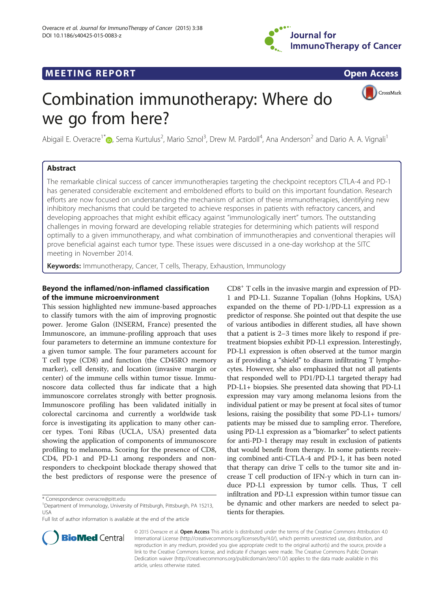

## **MEETING REPORT CONSUMING A REPORT** AND CONSUMING A REPORT OF A CONSUMING A REPORT OF A CONSUMING A REPORT OF A CONSUMING A REPORT OF A CONSUMING A REPORT OF A CONSUMING A REPORT OF A CONSUMING A REPORT OF A CONSUMING A RE

CrossMark

# Combination immunotherapy: Where do we go from here?

Abigail E. Overacre<sup>1\*</sup> (**p**[,](http://orcid.org/0000-0003-4027-3487) Sema Kurtulus<sup>2</sup>, Mario Sznol<sup>3</sup>, Drew M. Pardoll<sup>4</sup>, Ana Anderson<sup>2</sup> and Dario A. A. Vignali<sup>1</sup>

## Abstract

The remarkable clinical success of cancer immunotherapies targeting the checkpoint receptors CTLA-4 and PD-1 has generated considerable excitement and emboldened efforts to build on this important foundation. Research efforts are now focused on understanding the mechanism of action of these immunotherapies, identifying new inhibitory mechanisms that could be targeted to achieve responses in patients with refractory cancers, and developing approaches that might exhibit efficacy against "immunologically inert" tumors. The outstanding challenges in moving forward are developing reliable strategies for determining which patients will respond optimally to a given immunotherapy, and what combination of immunotherapies and conventional therapies will prove beneficial against each tumor type. These issues were discussed in a one-day workshop at the SITC meeting in November 2014.

Keywords: Immunotherapy, Cancer, T cells, Therapy, Exhaustion, Immunology

## Beyond the inflamed/non-inflamed classification of the immune microenvironment

This session highlighted new immune-based approaches to classify tumors with the aim of improving prognostic power. Jerome Galon (INSERM, France) presented the Immunoscore, an immune-profiling approach that uses four parameters to determine an immune contexture for a given tumor sample. The four parameters account for T cell type (CD8) and function (the CD45RO memory marker), cell density, and location (invasive margin or center) of the immune cells within tumor tissue. Immunoscore data collected thus far indicate that a high immunoscore correlates strongly with better prognosis. Immunoscore profiling has been validated initially in colorectal carcinoma and currently a worldwide task force is investigating its application to many other cancer types. Toni Ribas (UCLA, USA) presented data showing the application of components of immunoscore profiling to melanoma. Scoring for the presence of CD8, CD4, PD-1 and PD-L1 among responders and nonresponders to checkpoint blockade therapy showed that the best predictors of response were the presence of

**BioMed** Central



© 2015 Overacre et al. Open Access This article is distributed under the terms of the Creative Commons Attribution 4.0 International License [\(http://creativecommons.org/licenses/by/4.0/\)](http://creativecommons.org/licenses/by/4.0/), which permits unrestricted use, distribution, and reproduction in any medium, provided you give appropriate credit to the original author(s) and the source, provide a link to the Creative Commons license, and indicate if changes were made. The Creative Commons Public Domain Dedication waiver ([http://creativecommons.org/publicdomain/zero/1.0/\)](http://creativecommons.org/publicdomain/zero/1.0/) applies to the data made available in this article, unless otherwise stated.

<sup>\*</sup> Correspondence: [overacre@pitt.edu](mailto:overacre@pitt.edu) <sup>1</sup>

<sup>&</sup>lt;sup>1</sup>Department of Immunology, University of Pittsburgh, Pittsburgh, PA 15213, USA

Full list of author information is available at the end of the article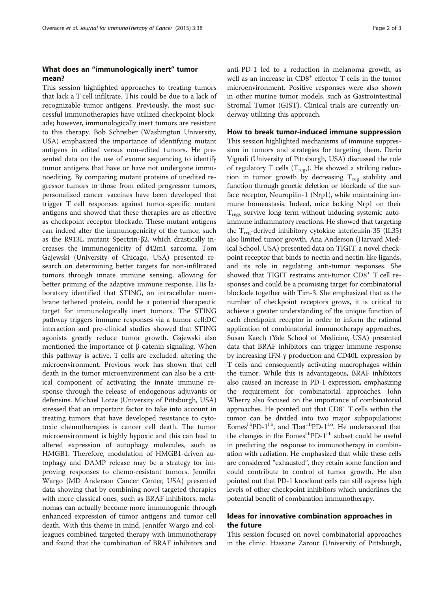## What does an "immunologically inert" tumor mean?

This session highlighted approaches to treating tumors that lack a T cell infiltrate. This could be due to a lack of recognizable tumor antigens. Previously, the most successful immunotherapies have utilized checkpoint blockade; however, immunologically inert tumors are resistant to this therapy. Bob Schreiber (Washington University, USA) emphasized the importance of identifying mutant antigens in edited versus non-edited tumors. He presented data on the use of exome sequencing to identify tumor antigens that have or have not undergone immunoediting. By comparing mutant proteins of unedited regressor tumors to those from edited progressor tumors, personalized cancer vaccines have been developed that trigger T cell responses against tumor-specific mutant antigens and showed that these therapies are as effective as checkpoint receptor blockade. These mutant antigens can indeed alter the immunogenicity of the tumor, such as the R913L mutant Spectrin-β2, which drastically increases the immunogenicity of d42m1 sarcoma. Tom Gajewski (University of Chicago, USA) presented research on determining better targets for non-infiltrated tumors through innate immune sensing, allowing for better priming of the adaptive immune response. His laboratory identified that STING, an intracellular membrane tethered protein, could be a potential therapeutic target for immunologically inert tumors. The STING pathway triggers immune responses via a tumor cell:DC interaction and pre-clinical studies showed that STING agonists greatly reduce tumor growth. Gajewski also mentioned the importance of β-catenin signaling. When this pathway is active, T cells are excluded, altering the microenvironment. Previous work has shown that cell death in the tumor microenvironment can also be a critical component of activating the innate immune response through the release of endogenous adjuvants or defensins. Michael Lotze (University of Pittsburgh, USA) stressed that an important factor to take into account in treating tumors that have developed resistance to cytotoxic chemotherapies is cancer cell death. The tumor microenvironment is highly hypoxic and this can lead to altered expression of autophagy molecules, such as HMGB1. Therefore, modulation of HMGB1-driven autophagy and DAMP release may be a strategy for improving responses to chemo-resistant tumors. Jennifer Wargo (MD Anderson Cancer Center, USA) presented data showing that by combining novel targeted therapies with more classical ones, such as BRAF inhibitors, melanomas can actually become more immunogenic through enhanced expression of tumor antigens and tumor cell death. With this theme in mind, Jennifer Wargo and colleagues combined targeted therapy with immunotherapy and found that the combination of BRAF inhibitors and anti-PD-1 led to a reduction in melanoma growth, as well as an increase in  $CDS<sup>+</sup>$  effector T cells in the tumor microenvironment. Positive responses were also shown in other murine tumor models, such as Gastrointestinal Stromal Tumor (GIST). Clinical trials are currently underway utilizing this approach.

#### How to break tumor-induced immune suppression

This session highlighted mechanisms of immune suppression in tumors and strategies for targeting them. Dario Vignali (University of Pittsburgh, USA) discussed the role of regulatory T cells ( $T_{\text{regs}}$ ). He showed a striking reduction in tumor growth by decreasing  $T_{reg}$  stability and function through genetic deletion or blockade of the surface receptor, Neuropilin-1 (Nrp1), while maintaining immune homeostasis. Indeed, mice lacking Nrp1 on their  $T_{\text{regs}}$  survive long term without inducing systemic autoimmune inflammatory reactions. He showed that targeting the  $T_{reg}$ -derived inhibitory cytokine interleukin-35 (IL35) also limited tumor growth. Ana Anderson (Harvard Medical School, USA) presented data on TIGIT, a novel checkpoint receptor that binds to nectin and nectin-like ligands, and its role in regulating anti-tumor responses. She showed that TIGIT restrains anti-tumor CD8<sup>+</sup> T cell responses and could be a promising target for combinatorial blockade together with Tim-3. She emphasized that as the number of checkpoint receptors grows, it is critical to achieve a greater understanding of the unique function of each checkpoint receptor in order to inform the rational application of combinatorial immunotherapy approaches. Susan Kaech (Yale School of Medicine, USA) presented data that BRAF inhibitors can trigger immune response by increasing IFN-γ production and CD40L expression by T cells and consequently activating macrophages within the tumor. While this is advantageous, BRAF inhibitors also caused an increase in PD-1 expression, emphasizing the requirement for combinatorial approaches. John Wherry also focused on the importance of combinatorial approaches. He pointed out that  $CDS<sup>+</sup> T$  cells within the tumor can be divided into two major subpopulations: Eomes<sup>Hi</sup>PD-1<sup>Hi</sup>, and Tbet<sup>Hi</sup>PD-1<sup>Lo</sup>. He underscored that the changes in the Eomes<sup>Hip</sup>D-1<sup>Hi</sup> subset could be useful in predicting the response to immunotherapy in combination with radiation. He emphasized that while these cells are considered "exhausted", they retain some function and could contribute to control of tumor growth. He also pointed out that PD-1 knockout cells can still express high levels of other checkpoint inhibitors which underlines the potential benefit of combination immunotherapy.

## Ideas for innovative combination approaches in the future

This session focused on novel combinatorial approaches in the clinic. Hassane Zarour (University of Pittsburgh,